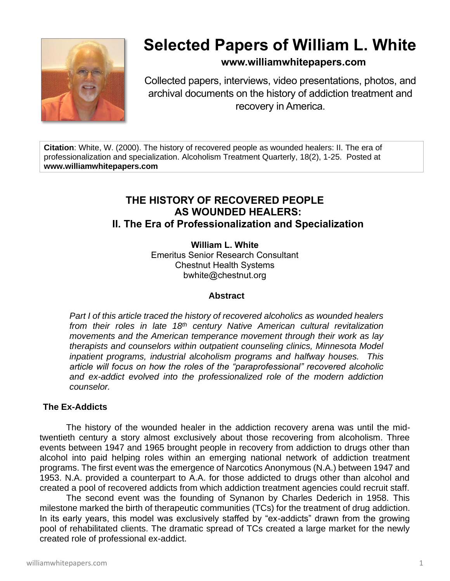

# **Selected Papers of William L. White**

# **www.williamwhitepapers.com**

Collected papers, interviews, video presentations, photos, and archival documents on the history of addiction treatment and recovery in America.

**Citation**: White, W. (2000). The history of recovered people as wounded healers: II. The era of professionalization and specialization. Alcoholism Treatment Quarterly, 18(2), 1-25. Posted at **www.williamwhitepapers.com**

# **THE HISTORY OF RECOVERED PEOPLE AS WOUNDED HEALERS: II. The Era of Professionalization and Specialization**

**William L. White** Emeritus Senior Research Consultant Chestnut Health Systems bwhite@chestnut.org

# **Abstract**

*Part I of this article traced the history of recovered alcoholics as wounded healers from their roles in late 18th century Native American cultural revitalization movements and the American temperance movement through their work as lay therapists and counselors within outpatient counseling clinics, Minnesota Model inpatient programs, industrial alcoholism programs and halfway houses. This article will focus on how the roles of the "paraprofessional" recovered alcoholic and ex-addict evolved into the professionalized role of the modern addiction counselor.* 

# **The Ex-Addicts**

The history of the wounded healer in the addiction recovery arena was until the midtwentieth century a story almost exclusively about those recovering from alcoholism. Three events between 1947 and 1965 brought people in recovery from addiction to drugs other than alcohol into paid helping roles within an emerging national network of addiction treatment programs. The first event was the emergence of Narcotics Anonymous (N.A.) between 1947 and 1953. N.A. provided a counterpart to A.A. for those addicted to drugs other than alcohol and created a pool of recovered addicts from which addiction treatment agencies could recruit staff.

 The second event was the founding of Synanon by Charles Dederich in 1958. This milestone marked the birth of therapeutic communities (TCs) for the treatment of drug addiction. In its early years, this model was exclusively staffed by "ex-addicts" drawn from the growing pool of rehabilitated clients. The dramatic spread of TCs created a large market for the newly created role of professional ex-addict.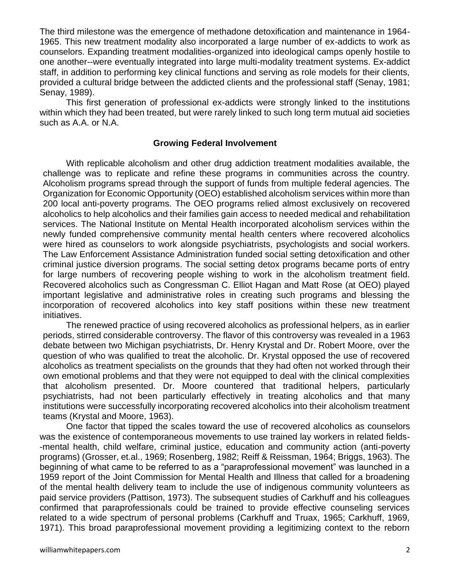The third milestone was the emergence of methadone detoxification and maintenance in 1964- 1965. This new treatment modality also incorporated a large number of ex-addicts to work as counselors. Expanding treatment modalities-organized into ideological camps openly hostile to one another--were eventually integrated into large multi-modality treatment systems. Ex-addict staff, in addition to performing key clinical functions and serving as role models for their clients, provided a cultural bridge between the addicted clients and the professional staff (Senay, 1981; Senay, 1989).

This first generation of professional ex-addicts were strongly linked to the institutions within which they had been treated, but were rarely linked to such long term mutual aid societies such as A.A. or N.A.

# **Growing Federal Involvement**

With replicable alcoholism and other drug addiction treatment modalities available, the challenge was to replicate and refine these programs in communities across the country. Alcoholism programs spread through the support of funds from multiple federal agencies. The Organization for Economic Opportunity (OEO) established alcoholism services within more than 200 local anti-poverty programs. The OEO programs relied almost exclusively on recovered alcoholics to help alcoholics and their families gain access to needed medical and rehabilitation services. The National Institute on Mental Health incorporated alcoholism services within the newly funded comprehensive community mental health centers where recovered alcoholics were hired as counselors to work alongside psychiatrists, psychologists and social workers. The Law Enforcement Assistance Administration funded social setting detoxification and other criminal justice diversion programs. The social setting detox programs became ports of entry for large numbers of recovering people wishing to work in the alcoholism treatment field. Recovered alcoholics such as Congressman C. Elliot Hagan and Matt Rose (at OEO) played important legislative and administrative roles in creating such programs and blessing the incorporation of recovered alcoholics into key staff positions within these new treatment initiatives.

The renewed practice of using recovered alcoholics as professional helpers, as in earlier periods, stirred considerable controversy. The flavor of this controversy was revealed in a 1963 debate between two Michigan psychiatrists, Dr. Henry Krystal and Dr. Robert Moore, over the question of who was qualified to treat the alcoholic. Dr. Krystal opposed the use of recovered alcoholics as treatment specialists on the grounds that they had often not worked through their own emotional problems and that they were not equipped to deal with the clinical complexities that alcoholism presented. Dr. Moore countered that traditional helpers, particularly psychiatrists, had not been particularly effectively in treating alcoholics and that many institutions were successfully incorporating recovered alcoholics into their alcoholism treatment teams (Krystal and Moore, 1963).

One factor that tipped the scales toward the use of recovered alcoholics as counselors was the existence of contemporaneous movements to use trained lay workers in related fields- -mental health, child welfare, criminal justice, education and community action (anti-poverty programs) (Grosser, et.al., 1969; Rosenberg, 1982; Reiff & Reissman, 1964; Briggs, 1963). The beginning of what came to be referred to as a "paraprofessional movement" was launched in a 1959 report of the Joint Commission for Mental Health and Illness that called for a broadening of the mental health delivery team to include the use of indigenous community volunteers as paid service providers (Pattison, 1973). The subsequent studies of Carkhuff and his colleagues confirmed that paraprofessionals could be trained to provide effective counseling services related to a wide spectrum of personal problems (Carkhuff and Truax, 1965; Carkhuff, 1969, 1971). This broad paraprofessional movement providing a legitimizing context to the reborn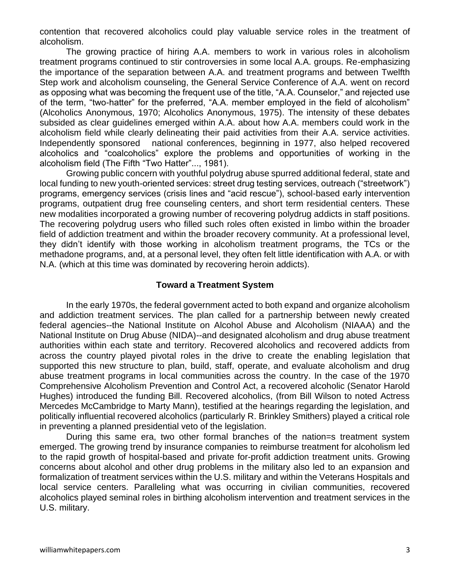contention that recovered alcoholics could play valuable service roles in the treatment of alcoholism.

The growing practice of hiring A.A. members to work in various roles in alcoholism treatment programs continued to stir controversies in some local A.A. groups. Re-emphasizing the importance of the separation between A.A. and treatment programs and between Twelfth Step work and alcoholism counseling, the General Service Conference of A.A. went on record as opposing what was becoming the frequent use of the title, "A.A. Counselor," and rejected use of the term, "two-hatter" for the preferred, "A.A. member employed in the field of alcoholism" (Alcoholics Anonymous, 1970; Alcoholics Anonymous, 1975). The intensity of these debates subsided as clear guidelines emerged within A.A. about how A.A. members could work in the alcoholism field while clearly delineating their paid activities from their A.A. service activities. Independently sponsored national conferences, beginning in 1977, also helped recovered alcoholics and "coalcoholics" explore the problems and opportunities of working in the alcoholism field (The Fifth "Two Hatter"..., 1981).

Growing public concern with youthful polydrug abuse spurred additional federal, state and local funding to new youth-oriented services: street drug testing services, outreach ("streetwork") programs, emergency services (crisis lines and "acid rescue"), school-based early intervention programs, outpatient drug free counseling centers, and short term residential centers. These new modalities incorporated a growing number of recovering polydrug addicts in staff positions. The recovering polydrug users who filled such roles often existed in limbo within the broader field of addiction treatment and within the broader recovery community. At a professional level, they didn't identify with those working in alcoholism treatment programs, the TCs or the methadone programs, and, at a personal level, they often felt little identification with A.A. or with N.A. (which at this time was dominated by recovering heroin addicts).

#### **Toward a Treatment System**

In the early 1970s, the federal government acted to both expand and organize alcoholism and addiction treatment services. The plan called for a partnership between newly created federal agencies--the National Institute on Alcohol Abuse and Alcoholism (NIAAA) and the National Institute on Drug Abuse (NIDA)--and designated alcoholism and drug abuse treatment authorities within each state and territory. Recovered alcoholics and recovered addicts from across the country played pivotal roles in the drive to create the enabling legislation that supported this new structure to plan, build, staff, operate, and evaluate alcoholism and drug abuse treatment programs in local communities across the country. In the case of the 1970 Comprehensive Alcoholism Prevention and Control Act, a recovered alcoholic (Senator Harold Hughes) introduced the funding Bill. Recovered alcoholics, (from Bill Wilson to noted Actress Mercedes McCambridge to Marty Mann), testified at the hearings regarding the legislation, and politically influential recovered alcoholics (particularly R. Brinkley Smithers) played a critical role in preventing a planned presidential veto of the legislation.

During this same era, two other formal branches of the nation=s treatment system emerged. The growing trend by insurance companies to reimburse treatment for alcoholism led to the rapid growth of hospital-based and private for-profit addiction treatment units. Growing concerns about alcohol and other drug problems in the military also led to an expansion and formalization of treatment services within the U.S. military and within the Veterans Hospitals and local service centers. Paralleling what was occurring in civilian communities, recovered alcoholics played seminal roles in birthing alcoholism intervention and treatment services in the U.S. military.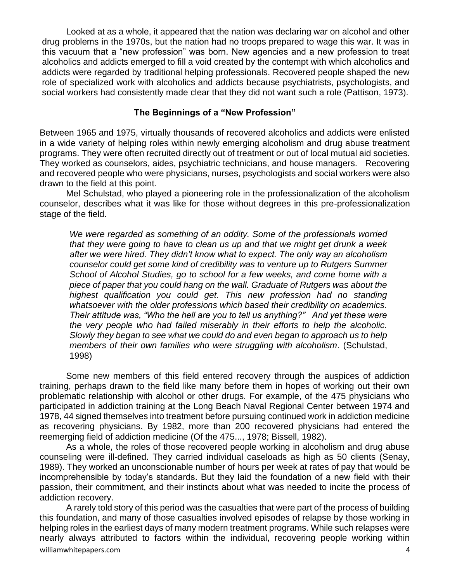Looked at as a whole, it appeared that the nation was declaring war on alcohol and other drug problems in the 1970s, but the nation had no troops prepared to wage this war. It was in this vacuum that a "new profession" was born. New agencies and a new profession to treat alcoholics and addicts emerged to fill a void created by the contempt with which alcoholics and addicts were regarded by traditional helping professionals. Recovered people shaped the new role of specialized work with alcoholics and addicts because psychiatrists, psychologists, and social workers had consistently made clear that they did not want such a role (Pattison, 1973).

#### **The Beginnings of a "New Profession"**

Between 1965 and 1975, virtually thousands of recovered alcoholics and addicts were enlisted in a wide variety of helping roles within newly emerging alcoholism and drug abuse treatment programs. They were often recruited directly out of treatment or out of local mutual aid societies. They worked as counselors, aides, psychiatric technicians, and house managers. Recovering and recovered people who were physicians, nurses, psychologists and social workers were also drawn to the field at this point.

Mel Schulstad, who played a pioneering role in the professionalization of the alcoholism counselor, describes what it was like for those without degrees in this pre-professionalization stage of the field.

*We were regarded as something of an oddity. Some of the professionals worried that they were going to have to clean us up and that we might get drunk a week after we were hired. They didn't know what to expect. The only way an alcoholism counselor could get some kind of credibility was to venture up to Rutgers Summer School of Alcohol Studies, go to school for a few weeks, and come home with a piece of paper that you could hang on the wall. Graduate of Rutgers was about the highest qualification you could get. This new profession had no standing whatsoever with the older professions which based their credibility on academics. Their attitude was, "Who the hell are you to tell us anything?" And yet these were the very people who had failed miserably in their efforts to help the alcoholic. Slowly they began to see what we could do and even began to approach us to help members of their own families who were struggling with alcoholism*. (Schulstad, 1998)

Some new members of this field entered recovery through the auspices of addiction training, perhaps drawn to the field like many before them in hopes of working out their own problematic relationship with alcohol or other drugs. For example, of the 475 physicians who participated in addiction training at the Long Beach Naval Regional Center between 1974 and 1978, 44 signed themselves into treatment before pursuing continued work in addiction medicine as recovering physicians. By 1982, more than 200 recovered physicians had entered the reemerging field of addiction medicine (Of the 475..., 1978; Bissell, 1982).

As a whole, the roles of those recovered people working in alcoholism and drug abuse counseling were ill-defined. They carried individual caseloads as high as 50 clients (Senay, 1989). They worked an unconscionable number of hours per week at rates of pay that would be incomprehensible by today's standards. But they laid the foundation of a new field with their passion, their commitment, and their instincts about what was needed to incite the process of addiction recovery.

williamwhitepapers.com 4 A rarely told story of this period was the casualties that were part of the process of building this foundation, and many of those casualties involved episodes of relapse by those working in helping roles in the earliest days of many modern treatment programs. While such relapses were nearly always attributed to factors within the individual, recovering people working within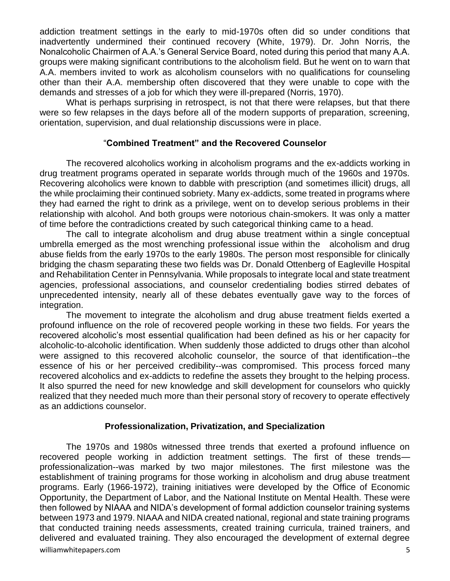addiction treatment settings in the early to mid-1970s often did so under conditions that inadvertently undermined their continued recovery (White, 1979). Dr. John Norris, the Nonalcoholic Chairmen of A.A.'s General Service Board, noted during this period that many A.A. groups were making significant contributions to the alcoholism field. But he went on to warn that A.A. members invited to work as alcoholism counselors with no qualifications for counseling other than their A.A. membership often discovered that they were unable to cope with the demands and stresses of a job for which they were ill-prepared (Norris, 1970).

What is perhaps surprising in retrospect, is not that there were relapses, but that there were so few relapses in the days before all of the modern supports of preparation, screening, orientation, supervision, and dual relationship discussions were in place.

# "**Combined Treatment" and the Recovered Counselor**

The recovered alcoholics working in alcoholism programs and the ex-addicts working in drug treatment programs operated in separate worlds through much of the 1960s and 1970s. Recovering alcoholics were known to dabble with prescription (and sometimes illicit) drugs, all the while proclaiming their continued sobriety. Many ex-addicts, some treated in programs where they had earned the right to drink as a privilege, went on to develop serious problems in their relationship with alcohol. And both groups were notorious chain-smokers. It was only a matter of time before the contradictions created by such categorical thinking came to a head.

The call to integrate alcoholism and drug abuse treatment within a single conceptual umbrella emerged as the most wrenching professional issue within the alcoholism and drug abuse fields from the early 1970s to the early 1980s. The person most responsible for clinically bridging the chasm separating these two fields was Dr. Donald Ottenberg of Eagleville Hospital and Rehabilitation Center in Pennsylvania. While proposals to integrate local and state treatment agencies, professional associations, and counselor credentialing bodies stirred debates of unprecedented intensity, nearly all of these debates eventually gave way to the forces of integration.

The movement to integrate the alcoholism and drug abuse treatment fields exerted a profound influence on the role of recovered people working in these two fields. For years the recovered alcoholic's most essential qualification had been defined as his or her capacity for alcoholic-to-alcoholic identification. When suddenly those addicted to drugs other than alcohol were assigned to this recovered alcoholic counselor, the source of that identification--the essence of his or her perceived credibility--was compromised. This process forced many recovered alcoholics and ex-addicts to redefine the assets they brought to the helping process. It also spurred the need for new knowledge and skill development for counselors who quickly realized that they needed much more than their personal story of recovery to operate effectively as an addictions counselor.

#### **Professionalization, Privatization, and Specialization**

williamwhitepapers.com 5 The 1970s and 1980s witnessed three trends that exerted a profound influence on recovered people working in addiction treatment settings. The first of these trends professionalization--was marked by two major milestones. The first milestone was the establishment of training programs for those working in alcoholism and drug abuse treatment programs. Early (1966-1972), training initiatives were developed by the Office of Economic Opportunity, the Department of Labor, and the National Institute on Mental Health. These were then followed by NIAAA and NIDA's development of formal addiction counselor training systems between 1973 and 1979. NIAAA and NIDA created national, regional and state training programs that conducted training needs assessments, created training curricula, trained trainers, and delivered and evaluated training. They also encouraged the development of external degree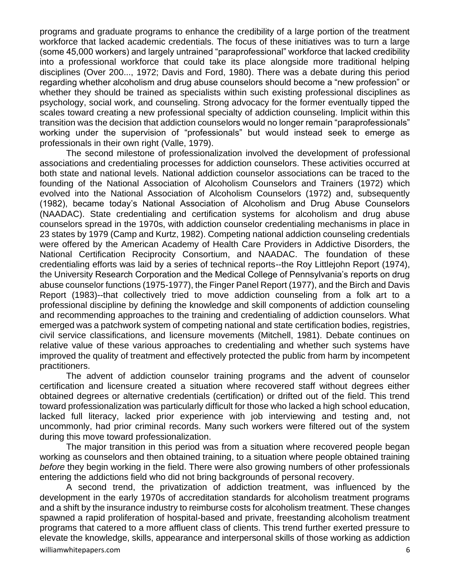programs and graduate programs to enhance the credibility of a large portion of the treatment workforce that lacked academic credentials. The focus of these initiatives was to turn a large (some 45,000 workers) and largely untrained "paraprofessional" workforce that lacked credibility into a professional workforce that could take its place alongside more traditional helping disciplines (Over 200..., 1972; Davis and Ford, 1980). There was a debate during this period regarding whether alcoholism and drug abuse counselors should become a "new profession" or whether they should be trained as specialists within such existing professional disciplines as psychology, social work, and counseling. Strong advocacy for the former eventually tipped the scales toward creating a new professional specialty of addiction counseling. Implicit within this transition was the decision that addiction counselors would no longer remain "paraprofessionals" working under the supervision of "professionals" but would instead seek to emerge as professionals in their own right (Valle, 1979).

The second milestone of professionalization involved the development of professional associations and credentialing processes for addiction counselors. These activities occurred at both state and national levels. National addiction counselor associations can be traced to the founding of the National Association of Alcoholism Counselors and Trainers (1972) which evolved into the National Association of Alcoholism Counselors (1972) and, subsequently (1982), became today's National Association of Alcoholism and Drug Abuse Counselors (NAADAC). State credentialing and certification systems for alcoholism and drug abuse counselors spread in the 1970s, with addiction counselor credentialing mechanisms in place in 23 states by 1979 (Camp and Kurtz, 1982). Competing national addiction counseling credentials were offered by the American Academy of Health Care Providers in Addictive Disorders, the National Certification Reciprocity Consortium, and NAADAC. The foundation of these credentialing efforts was laid by a series of technical reports--the Roy Littlejohn Report (1974), the University Research Corporation and the Medical College of Pennsylvania's reports on drug abuse counselor functions (1975-1977), the Finger Panel Report (1977), and the Birch and Davis Report (1983)--that collectively tried to move addiction counseling from a folk art to a professional discipline by defining the knowledge and skill components of addiction counseling and recommending approaches to the training and credentialing of addiction counselors. What emerged was a patchwork system of competing national and state certification bodies, registries, civil service classifications, and licensure movements (Mitchell, 1981). Debate continues on relative value of these various approaches to credentialing and whether such systems have improved the quality of treatment and effectively protected the public from harm by incompetent practitioners.

The advent of addiction counselor training programs and the advent of counselor certification and licensure created a situation where recovered staff without degrees either obtained degrees or alternative credentials (certification) or drifted out of the field. This trend toward professionalization was particularly difficult for those who lacked a high school education, lacked full literacy, lacked prior experience with job interviewing and testing and, not uncommonly, had prior criminal records. Many such workers were filtered out of the system during this move toward professionalization.

The major transition in this period was from a situation where recovered people began working as counselors and then obtained training, to a situation where people obtained training *before* they begin working in the field. There were also growing numbers of other professionals entering the addictions field who did not bring backgrounds of personal recovery.

A second trend, the privatization of addiction treatment, was influenced by the development in the early 1970s of accreditation standards for alcoholism treatment programs and a shift by the insurance industry to reimburse costs for alcoholism treatment. These changes spawned a rapid proliferation of hospital-based and private, freestanding alcoholism treatment programs that catered to a more affluent class of clients. This trend further exerted pressure to elevate the knowledge, skills, appearance and interpersonal skills of those working as addiction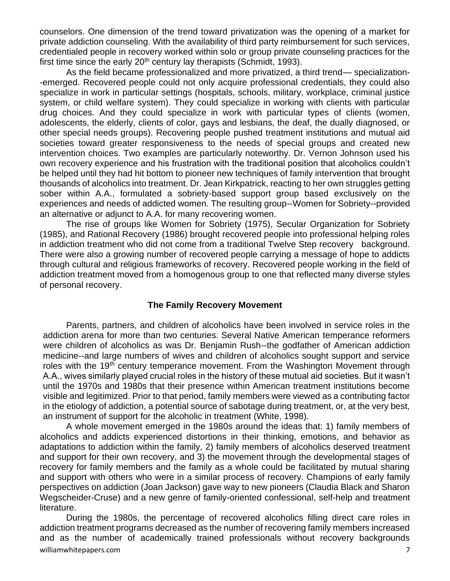counselors. One dimension of the trend toward privatization was the opening of a market for private addiction counseling. With the availability of third party reimbursement for such services, credentialed people in recovery worked within solo or group private counseling practices for the first time since the early  $20<sup>th</sup>$  century lay therapists (Schmidt, 1993).

As the field became professionalized and more privatized, a third trend— specialization- -emerged. Recovered people could not only acquire professional credentials, they could also specialize in work in particular settings (hospitals, schools, military, workplace, criminal justice system, or child welfare system). They could specialize in working with clients with particular drug choices. And they could specialize in work with particular types of clients (women, adolescents, the elderly, clients of color, gays and lesbians, the deaf, the dually diagnosed, or other special needs groups). Recovering people pushed treatment institutions and mutual aid societies toward greater responsiveness to the needs of special groups and created new intervention choices. Two examples are particularly noteworthy. Dr. Vernon Johnson used his own recovery experience and his frustration with the traditional position that alcoholics couldn't be helped until they had hit bottom to pioneer new techniques of family intervention that brought thousands of alcoholics into treatment. Dr. Jean Kirkpatrick, reacting to her own struggles getting sober within A.A., formulated a sobriety-based support group based exclusively on the experiences and needs of addicted women. The resulting group--Women for Sobriety--provided an alternative or adjunct to A.A. for many recovering women.

The rise of groups like Women for Sobriety (1975), Secular Organization for Sobriety (1985), and Rational Recovery (1986) brought recovered people into professional helping roles in addiction treatment who did not come from a traditional Twelve Step recovery background. There were also a growing number of recovered people carrying a message of hope to addicts through cultural and religious frameworks of recovery. Recovered people working in the field of addiction treatment moved from a homogenous group to one that reflected many diverse styles of personal recovery.

#### **The Family Recovery Movement**

Parents, partners, and children of alcoholics have been involved in service roles in the addiction arena for more than two centuries. Several Native American temperance reformers were children of alcoholics as was Dr. Benjamin Rush--the godfather of American addiction medicine--and large numbers of wives and children of alcoholics sought support and service roles with the 19<sup>th</sup> century temperance movement. From the Washington Movement through A.A., wives similarly played crucial roles in the history of these mutual aid societies. But it wasn't until the 1970s and 1980s that their presence within American treatment institutions become visible and legitimized. Prior to that period, family members were viewed as a contributing factor in the etiology of addiction, a potential source of sabotage during treatment, or, at the very best, an instrument of support for the alcoholic in treatment (White, 1998).

A whole movement emerged in the 1980s around the ideas that: 1) family members of alcoholics and addicts experienced distortions in their thinking, emotions, and behavior as adaptations to addiction within the family, 2) family members of alcoholics deserved treatment and support for their own recovery, and 3) the movement through the developmental stages of recovery for family members and the family as a whole could be facilitated by mutual sharing and support with others who were in a similar process of recovery. Champions of early family perspectives on addiction (Joan Jackson) gave way to new pioneers (Claudia Black and Sharon Wegscheider-Cruse) and a new genre of family-oriented confessional, self-help and treatment literature.

williamwhitepapers.com 7 During the 1980s, the percentage of recovered alcoholics filling direct care roles in addiction treatment programs decreased as the number of recovering family members increased and as the number of academically trained professionals without recovery backgrounds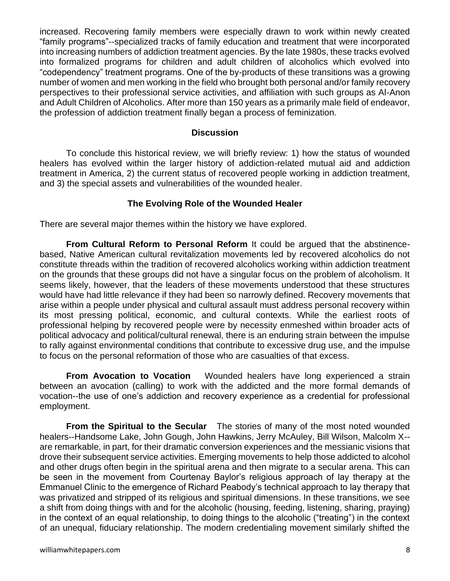increased. Recovering family members were especially drawn to work within newly created "family programs"--specialized tracks of family education and treatment that were incorporated into increasing numbers of addiction treatment agencies. By the late 1980s, these tracks evolved into formalized programs for children and adult children of alcoholics which evolved into "codependency" treatment programs. One of the by-products of these transitions was a growing number of women and men working in the field who brought both personal and/or family recovery perspectives to their professional service activities, and affiliation with such groups as Al-Anon and Adult Children of Alcoholics. After more than 150 years as a primarily male field of endeavor, the profession of addiction treatment finally began a process of feminization.

#### **Discussion**

To conclude this historical review, we will briefly review: 1) how the status of wounded healers has evolved within the larger history of addiction-related mutual aid and addiction treatment in America, 2) the current status of recovered people working in addiction treatment, and 3) the special assets and vulnerabilities of the wounded healer.

#### **The Evolving Role of the Wounded Healer**

There are several major themes within the history we have explored.

**From Cultural Reform to Personal Reform** It could be argued that the abstinencebased, Native American cultural revitalization movements led by recovered alcoholics do not constitute threads within the tradition of recovered alcoholics working within addiction treatment on the grounds that these groups did not have a singular focus on the problem of alcoholism. It seems likely, however, that the leaders of these movements understood that these structures would have had little relevance if they had been so narrowly defined. Recovery movements that arise within a people under physical and cultural assault must address personal recovery within its most pressing political, economic, and cultural contexts. While the earliest roots of professional helping by recovered people were by necessity enmeshed within broader acts of political advocacy and political/cultural renewal, there is an enduring strain between the impulse to rally against environmental conditions that contribute to excessive drug use, and the impulse to focus on the personal reformation of those who are casualties of that excess.

**From Avocation to Vocation** Wounded healers have long experienced a strain between an avocation (calling) to work with the addicted and the more formal demands of vocation--the use of one's addiction and recovery experience as a credential for professional employment.

**From the Spiritual to the Secular** The stories of many of the most noted wounded healers--Handsome Lake, John Gough, John Hawkins, Jerry McAuley, Bill Wilson, Malcolm X- are remarkable, in part, for their dramatic conversion experiences and the messianic visions that drove their subsequent service activities. Emerging movements to help those addicted to alcohol and other drugs often begin in the spiritual arena and then migrate to a secular arena. This can be seen in the movement from Courtenay Baylor's religious approach of lay therapy at the Emmanuel Clinic to the emergence of Richard Peabody's technical approach to lay therapy that was privatized and stripped of its religious and spiritual dimensions. In these transitions, we see a shift from doing things with and for the alcoholic (housing, feeding, listening, sharing, praying) in the context of an equal relationship, to doing things to the alcoholic ("treating") in the context of an unequal, fiduciary relationship. The modern credentialing movement similarly shifted the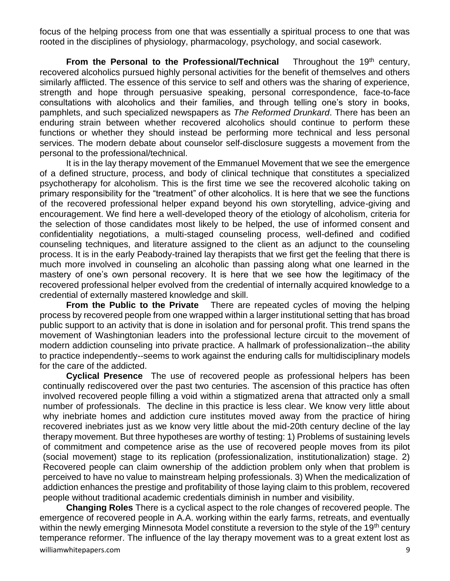focus of the helping process from one that was essentially a spiritual process to one that was rooted in the disciplines of physiology, pharmacology, psychology, and social casework.

**From the Personal to the Professional/Technical** Throughout the 19<sup>th</sup> century. recovered alcoholics pursued highly personal activities for the benefit of themselves and others similarly afflicted. The essence of this service to self and others was the sharing of experience, strength and hope through persuasive speaking, personal correspondence, face-to-face consultations with alcoholics and their families, and through telling one's story in books, pamphlets, and such specialized newspapers as *The Reformed Drunkard*. There has been an enduring strain between whether recovered alcoholics should continue to perform these functions or whether they should instead be performing more technical and less personal services. The modern debate about counselor self-disclosure suggests a movement from the personal to the professional/technical.

It is in the lay therapy movement of the Emmanuel Movement that we see the emergence of a defined structure, process, and body of clinical technique that constitutes a specialized psychotherapy for alcoholism. This is the first time we see the recovered alcoholic taking on primary responsibility for the "treatment" of other alcoholics. It is here that we see the functions of the recovered professional helper expand beyond his own storytelling, advice-giving and encouragement. We find here a well-developed theory of the etiology of alcoholism, criteria for the selection of those candidates most likely to be helped, the use of informed consent and confidentiality negotiations, a multi-staged counseling process, well-defined and codified counseling techniques, and literature assigned to the client as an adjunct to the counseling process. It is in the early Peabody-trained lay therapists that we first get the feeling that there is much more involved in counseling an alcoholic than passing along what one learned in the mastery of one's own personal recovery. It is here that we see how the legitimacy of the recovered professional helper evolved from the credential of internally acquired knowledge to a credential of externally mastered knowledge and skill.

**From the Public to the Private** There are repeated cycles of moving the helping process by recovered people from one wrapped within a larger institutional setting that has broad public support to an activity that is done in isolation and for personal profit. This trend spans the movement of Washingtonian leaders into the professional lecture circuit to the movement of modern addiction counseling into private practice. A hallmark of professionalization--the ability to practice independently--seems to work against the enduring calls for multidisciplinary models for the care of the addicted.

**Cyclical Presence** The use of recovered people as professional helpers has been continually rediscovered over the past two centuries. The ascension of this practice has often involved recovered people filling a void within a stigmatized arena that attracted only a small number of professionals. The decline in this practice is less clear. We know very little about why inebriate homes and addiction cure institutes moved away from the practice of hiring recovered inebriates just as we know very little about the mid-20th century decline of the lay therapy movement. But three hypotheses are worthy of testing: 1) Problems of sustaining levels of commitment and competence arise as the use of recovered people moves from its pilot (social movement) stage to its replication (professionalization, institutionalization) stage. 2) Recovered people can claim ownership of the addiction problem only when that problem is perceived to have no value to mainstream helping professionals. 3) When the medicalization of addiction enhances the prestige and profitability of those laying claim to this problem, recovered people without traditional academic credentials diminish in number and visibility.

williamwhitepapers.com 9 **Changing Roles** There is a cyclical aspect to the role changes of recovered people. The emergence of recovered people in A.A. working within the early farms, retreats, and eventually within the newly emerging Minnesota Model constitute a reversion to the style of the 19<sup>th</sup> century temperance reformer. The influence of the lay therapy movement was to a great extent lost as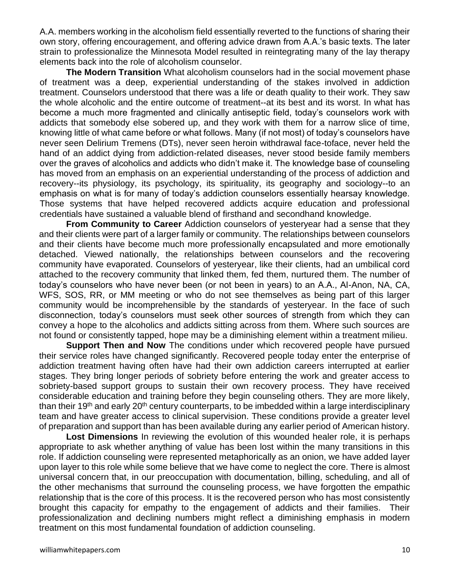A.A. members working in the alcoholism field essentially reverted to the functions of sharing their own story, offering encouragement, and offering advice drawn from A.A.'s basic texts. The later strain to professionalize the Minnesota Model resulted in reintegrating many of the lay therapy elements back into the role of alcoholism counselor.

**The Modern Transition** What alcoholism counselors had in the social movement phase of treatment was a deep, experiential understanding of the stakes involved in addiction treatment. Counselors understood that there was a life or death quality to their work. They saw the whole alcoholic and the entire outcome of treatment--at its best and its worst. In what has become a much more fragmented and clinically antiseptic field, today's counselors work with addicts that somebody else sobered up, and they work with them for a narrow slice of time, knowing little of what came before or what follows. Many (if not most) of today's counselors have never seen Delirium Tremens (DTs), never seen heroin withdrawal face-toface, never held the hand of an addict dying from addiction-related diseases, never stood beside family members over the graves of alcoholics and addicts who didn't make it. The knowledge base of counseling has moved from an emphasis on an experiential understanding of the process of addiction and recovery--its physiology, its psychology, its spirituality, its geography and sociology--to an emphasis on what is for many of today's addiction counselors essentially hearsay knowledge. Those systems that have helped recovered addicts acquire education and professional credentials have sustained a valuable blend of firsthand and secondhand knowledge.

**From Community to Career** Addiction counselors of yesteryear had a sense that they and their clients were part of a larger family or community. The relationships between counselors and their clients have become much more professionally encapsulated and more emotionally detached. Viewed nationally, the relationships between counselors and the recovering community have evaporated. Counselors of yesteryear, like their clients, had an umbilical cord attached to the recovery community that linked them, fed them, nurtured them. The number of today's counselors who have never been (or not been in years) to an A.A., Al-Anon, NA, CA, WFS, SOS, RR, or MM meeting or who do not see themselves as being part of this larger community would be incomprehensible by the standards of yesteryear. In the face of such disconnection, today's counselors must seek other sources of strength from which they can convey a hope to the alcoholics and addicts sitting across from them. Where such sources are not found or consistently tapped, hope may be a diminishing element within a treatment milieu.

**Support Then and Now** The conditions under which recovered people have pursued their service roles have changed significantly. Recovered people today enter the enterprise of addiction treatment having often have had their own addiction careers interrupted at earlier stages. They bring longer periods of sobriety before entering the work and greater access to sobriety-based support groups to sustain their own recovery process. They have received considerable education and training before they begin counseling others. They are more likely, than their 19<sup>th</sup> and early 20<sup>th</sup> century counterparts, to be imbedded within a large interdisciplinary team and have greater access to clinical supervision. These conditions provide a greater level of preparation and support than has been available during any earlier period of American history.

**Lost Dimensions** In reviewing the evolution of this wounded healer role, it is perhaps appropriate to ask whether anything of value has been lost within the many transitions in this role. If addiction counseling were represented metaphorically as an onion, we have added layer upon layer to this role while some believe that we have come to neglect the core. There is almost universal concern that, in our preoccupation with documentation, billing, scheduling, and all of the other mechanisms that surround the counseling process, we have forgotten the empathic relationship that is the core of this process. It is the recovered person who has most consistently brought this capacity for empathy to the engagement of addicts and their families. Their professionalization and declining numbers might reflect a diminishing emphasis in modern treatment on this most fundamental foundation of addiction counseling.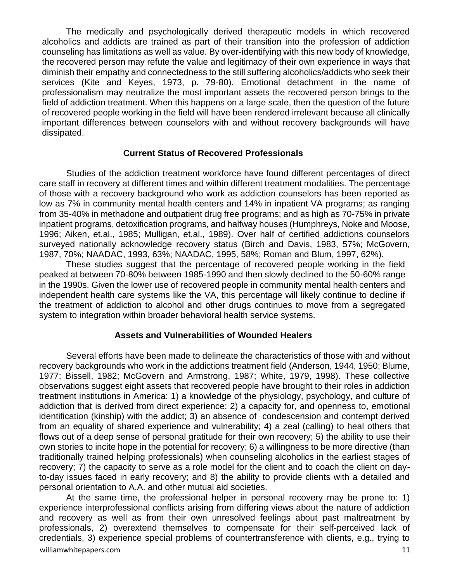The medically and psychologically derived therapeutic models in which recovered alcoholics and addicts are trained as part of their transition into the profession of addiction counseling has limitations as well as value. By over-identifying with this new body of knowledge, the recovered person may refute the value and legitimacy of their own experience in ways that diminish their empathy and connectedness to the still suffering alcoholics/addicts who seek their services (Kite and Keyes, 1973, p. 79-80). Emotional detachment in the name of professionalism may neutralize the most important assets the recovered person brings to the field of addiction treatment. When this happens on a large scale, then the question of the future of recovered people working in the field will have been rendered irrelevant because all clinically important differences between counselors with and without recovery backgrounds will have dissipated.

#### **Current Status of Recovered Professionals**

Studies of the addiction treatment workforce have found different percentages of direct care staff in recovery at different times and within different treatment modalities. The percentage of those with a recovery background who work as addiction counselors has been reported as low as 7% in community mental health centers and 14% in inpatient VA programs; as ranging from 35-40% in methadone and outpatient drug free programs; and as high as 70-75% in private inpatient programs, detoxification programs, and halfway houses (Humphreys, Noke and Moose, 1996; Aiken, et.al., 1985; Mulligan, et.al., 1989). Over half of certified addictions counselors surveyed nationally acknowledge recovery status (Birch and Davis, 1983, 57%; McGovern, 1987, 70%; NAADAC, 1993, 63%; NAADAC, 1995, 58%; Roman and Blum, 1997, 62%).

These studies suggest that the percentage of recovered people working in the field peaked at between 70-80% between 1985-1990 and then slowly declined to the 50-60% range in the 1990s. Given the lower use of recovered people in community mental health centers and independent health care systems like the VA, this percentage will likely continue to decline if the treatment of addiction to alcohol and other drugs continues to move from a segregated system to integration within broader behavioral health service systems.

#### **Assets and Vulnerabilities of Wounded Healers**

Several efforts have been made to delineate the characteristics of those with and without recovery backgrounds who work in the addictions treatment field (Anderson, 1944, 1950; Blume, 1977; Bissell, 1982; McGovern and Armstrong, 1987; White, 1979, 1998). These collective observations suggest eight assets that recovered people have brought to their roles in addiction treatment institutions in America: 1) a knowledge of the physiology, psychology, and culture of addiction that is derived from direct experience; 2) a capacity for, and openness to, emotional identification (kinship) with the addict; 3) an absence of condescension and contempt derived from an equality of shared experience and vulnerability; 4) a zeal (calling) to heal others that flows out of a deep sense of personal gratitude for their own recovery; 5) the ability to use their own stories to incite hope in the potential for recovery; 6) a willingness to be more directive (than traditionally trained helping professionals) when counseling alcoholics in the earliest stages of recovery; 7) the capacity to serve as a role model for the client and to coach the client on dayto-day issues faced in early recovery; and 8) the ability to provide clients with a detailed and personal orientation to A.A. and other mutual aid societies.

williamwhitepapers.com and the community of the community of the community of the community of the community of  $11$ At the same time, the professional helper in personal recovery may be prone to: 1) experience interprofessional conflicts arising from differing views about the nature of addiction and recovery as well as from their own unresolved feelings about past maltreatment by professionals, 2) overextend themselves to compensate for their self-perceived lack of credentials, 3) experience special problems of countertransference with clients, e.g., trying to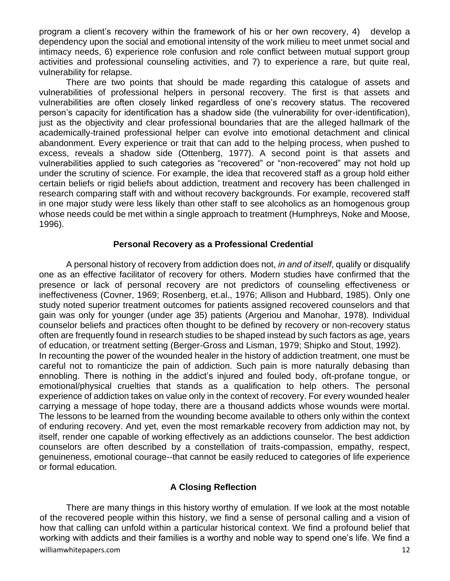program a client's recovery within the framework of his or her own recovery, 4) develop a dependency upon the social and emotional intensity of the work milieu to meet unmet social and intimacy needs, 6) experience role confusion and role conflict between mutual support group activities and professional counseling activities, and 7) to experience a rare, but quite real, vulnerability for relapse.

There are two points that should be made regarding this catalogue of assets and vulnerabilities of professional helpers in personal recovery. The first is that assets and vulnerabilities are often closely linked regardless of one's recovery status. The recovered person's capacity for identification has a shadow side (the vulnerability for over-identification), just as the objectivity and clear professional boundaries that are the alleged hallmark of the academically-trained professional helper can evolve into emotional detachment and clinical abandonment. Every experience or trait that can add to the helping process, when pushed to excess, reveals a shadow side (Ottenberg, 1977). A second point is that assets and vulnerabilities applied to such categories as "recovered" or "non-recovered" may not hold up under the scrutiny of science. For example, the idea that recovered staff as a group hold either certain beliefs or rigid beliefs about addiction, treatment and recovery has been challenged in research comparing staff with and without recovery backgrounds. For example, recovered staff in one major study were less likely than other staff to see alcoholics as an homogenous group whose needs could be met within a single approach to treatment (Humphreys, Noke and Moose, 1996).

#### **Personal Recovery as a Professional Credential**

A personal history of recovery from addiction does not, *in and of itself*, qualify or disqualify one as an effective facilitator of recovery for others. Modern studies have confirmed that the presence or lack of personal recovery are not predictors of counseling effectiveness or ineffectiveness (Covner, 1969; Rosenberg, et.al., 1976; Allison and Hubbard, 1985). Only one study noted superior treatment outcomes for patients assigned recovered counselors and that gain was only for younger (under age 35) patients (Argeriou and Manohar, 1978). Individual counselor beliefs and practices often thought to be defined by recovery or non-recovery status often are frequently found in research studies to be shaped instead by such factors as age, years of education, or treatment setting (Berger-Gross and Lisman, 1979; Shipko and Stout, 1992). In recounting the power of the wounded healer in the history of addiction treatment, one must be careful not to romanticize the pain of addiction. Such pain is more naturally debasing than ennobling. There is nothing in the addict's injured and fouled body, oft-profane tongue, or emotional/physical cruelties that stands as a qualification to help others. The personal experience of addiction takes on value only in the context of recovery. For every wounded healer carrying a message of hope today, there are a thousand addicts whose wounds were mortal. The lessons to be learned from the wounding become available to others only within the context of enduring recovery. And yet, even the most remarkable recovery from addiction may not, by itself, render one capable of working effectively as an addictions counselor. The best addiction counselors are often described by a constellation of traits-compassion, empathy, respect, genuineness, emotional courage--that cannot be easily reduced to categories of life experience or formal education.

# **A Closing Reflection**

There are many things in this history worthy of emulation. If we look at the most notable of the recovered people within this history, we find a sense of personal calling and a vision of how that calling can unfold within a particular historical context. We find a profound belief that working with addicts and their families is a worthy and noble way to spend one's life. We find a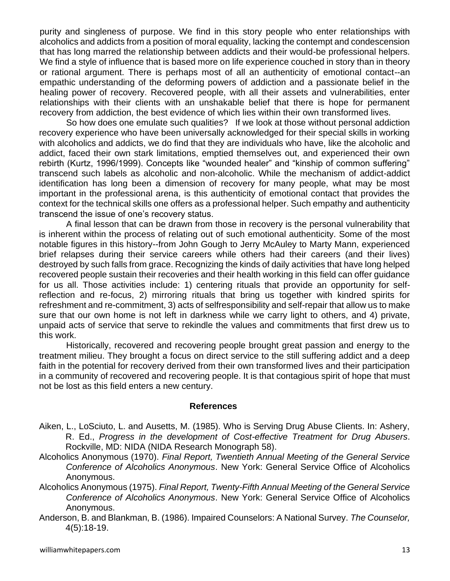purity and singleness of purpose. We find in this story people who enter relationships with alcoholics and addicts from a position of moral equality, lacking the contempt and condescension that has long marred the relationship between addicts and their would-be professional helpers. We find a style of influence that is based more on life experience couched in story than in theory or rational argument. There is perhaps most of all an authenticity of emotional contact--an empathic understanding of the deforming powers of addiction and a passionate belief in the healing power of recovery. Recovered people, with all their assets and vulnerabilities, enter relationships with their clients with an unshakable belief that there is hope for permanent recovery from addiction, the best evidence of which lies within their own transformed lives.

So how does one emulate such qualities? If we look at those without personal addiction recovery experience who have been universally acknowledged for their special skills in working with alcoholics and addicts, we do find that they are individuals who have, like the alcoholic and addict, faced their own stark limitations, emptied themselves out, and experienced their own rebirth (Kurtz, 1996/1999). Concepts like "wounded healer" and "kinship of common suffering" transcend such labels as alcoholic and non-alcoholic. While the mechanism of addict-addict identification has long been a dimension of recovery for many people, what may be most important in the professional arena, is this authenticity of emotional contact that provides the context for the technical skills one offers as a professional helper. Such empathy and authenticity transcend the issue of one's recovery status.

A final lesson that can be drawn from those in recovery is the personal vulnerability that is inherent within the process of relating out of such emotional authenticity. Some of the most notable figures in this history--from John Gough to Jerry McAuley to Marty Mann, experienced brief relapses during their service careers while others had their careers (and their lives) destroyed by such falls from grace. Recognizing the kinds of daily activities that have long helped recovered people sustain their recoveries and their health working in this field can offer guidance for us all. Those activities include: 1) centering rituals that provide an opportunity for selfreflection and re-focus, 2) mirroring rituals that bring us together with kindred spirits for refreshment and re-commitment, 3) acts of selfresponsibility and self-repair that allow us to make sure that our own home is not left in darkness while we carry light to others, and 4) private, unpaid acts of service that serve to rekindle the values and commitments that first drew us to this work.

Historically, recovered and recovering people brought great passion and energy to the treatment milieu. They brought a focus on direct service to the still suffering addict and a deep faith in the potential for recovery derived from their own transformed lives and their participation in a community of recovered and recovering people. It is that contagious spirit of hope that must not be lost as this field enters a new century.

#### **References**

- Aiken, L., LoSciuto, L. and Ausetts, M. (1985). Who is Serving Drug Abuse Clients. In: Ashery, R. Ed., *Progress in the development of Cost-effective Treatment for Drug Abusers*. Rockville, MD: NIDA (NIDA Research Monograph 58).
- Alcoholics Anonymous (1970). *Final Report, Twentieth Annual Meeting of the General Service Conference of Alcoholics Anonymous*. New York: General Service Office of Alcoholics Anonymous.
- Alcoholics Anonymous (1975). *Final Report, Twenty-Fifth Annual Meeting of the General Service Conference of Alcoholics Anonymous*. New York: General Service Office of Alcoholics Anonymous.
- Anderson, B. and Blankman, B. (1986). Impaired Counselors: A National Survey. *The Counselor,* 4(5):18-19.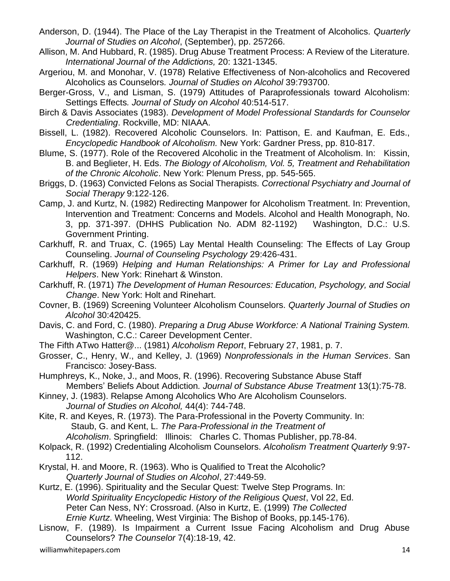- Anderson, D. (1944). The Place of the Lay Therapist in the Treatment of Alcoholics. *Quarterly Journal of Studies on Alcohol*, (September), pp. 257266.
- Allison, M. And Hubbard, R. (1985). Drug Abuse Treatment Process: A Review of the Literature*. International Journal of the Addictions,* 20: 1321-1345.
- Argeriou, M. and Monohar, V. (1978) Relative Effectiveness of Non-alcoholics and Recovered Alcoholics as Counselors*. Journal of Studies on Alcohol* 39:793700.
- Berger-Gross, V., and Lisman, S. (1979) Attitudes of Paraprofessionals toward Alcoholism: Settings Effects*. Journal of Study on Alcohol* 40:514-517.
- Birch & Davis Associates (1983). *Development of Model Professional Standards for Counselor Credentialing*. Rockville, MD: NIAAA.
- Bissell, L. (1982). Recovered Alcoholic Counselors. In: Pattison, E. and Kaufman, E. Eds., *Encyclopedic Handbook of Alcoholism.* New York: Gardner Press, pp. 810-817.
- Blume, S. (1977). Role of the Recovered Alcoholic in the Treatment of Alcoholism. In: Kissin, B. and Beglieter, H. Eds. *The Biology of Alcoholism, Vol. 5, Treatment and Rehabilitation of the Chronic Alcoholic*. New York: Plenum Press, pp. 545-565.
- Briggs, D. (1963) Convicted Felons as Social Therapists*. Correctional Psychiatry and Journal of Social Therapy* 9:122-126.
- Camp, J. and Kurtz, N. (1982) Redirecting Manpower for Alcoholism Treatment. In: Prevention, Intervention and Treatment: Concerns and Models. Alcohol and Health Monograph, No. 3, pp. 371-397. (DHHS Publication No. ADM 82-1192) Washington, D.C.: U.S. Government Printing.
- Carkhuff, R. and Truax, C. (1965) Lay Mental Health Counseling: The Effects of Lay Group Counseling. *Journal of Counseling Psychology* 29:426-431.
- Carkhuff, R. (1969) *Helping and Human Relationships: A Primer for Lay and Professional Helpers*. New York: Rinehart & Winston.
- Carkhuff, R. (1971) *The Development of Human Resources: Education, Psychology, and Social Change*. New York: Holt and Rinehart.
- Covner, B. (1969) Screening Volunteer Alcoholism Counselors. *Quarterly Journal of Studies on Alcohol* 30:420425.
- Davis, C. and Ford, C. (1980). *Preparing a Drug Abuse Workforce: A National Training System.* Washington, C.C.: Career Development Center.
- The Fifth ATwo Hatter@... (1981) *Alcoholism Report*, February 27, 1981, p. 7.
- Grosser, C., Henry, W., and Kelley, J. (1969) *Nonprofessionals in the Human Services*. San Francisco: Josey-Bass.
- Humphreys, K., Noke, J., and Moos, R. (1996). Recovering Substance Abuse Staff Members' Beliefs About Addiction*. Journal of Substance Abuse Treatment* 13(1):75-78.
- Kinney, J. (1983). Relapse Among Alcoholics Who Are Alcoholism Counselors. *Journal of Studies on Alcohol,* 44(4): 744-748.
- Kite, R. and Keyes, R. (1973). The Para-Professional in the Poverty Community. In: Staub, G. and Kent, L. *The Para-Professional in the Treatment of Alcoholism*. Springfield: Illinois: Charles C. Thomas Publisher, pp.78-84.
- Kolpack, R. (1992) Credentialing Alcoholism Counselors. *Alcoholism Treatment Quarterly* 9:97- 112.
- Krystal, H. and Moore, R. (1963). Who is Qualified to Treat the Alcoholic? *Quarterly Journal of Studies on Alcohol*, 27:449-59.
- Kurtz, E. (1996). Spirituality and the Secular Quest: Twelve Step Programs. In: *World Spirituality Encyclopedic History of the Religious Quest*, Vol 22, Ed. Peter Can Ness, NY: Crossroad. (Also in Kurtz, E. (1999) *The Collected Ernie Kurtz*. Wheeling, West Virginia: The Bishop of Books, pp.145-176).
- Lisnow, F. (1989). Is Impairment a Current Issue Facing Alcoholism and Drug Abuse Counselors? *The Counselor* 7(4):18-19, 42.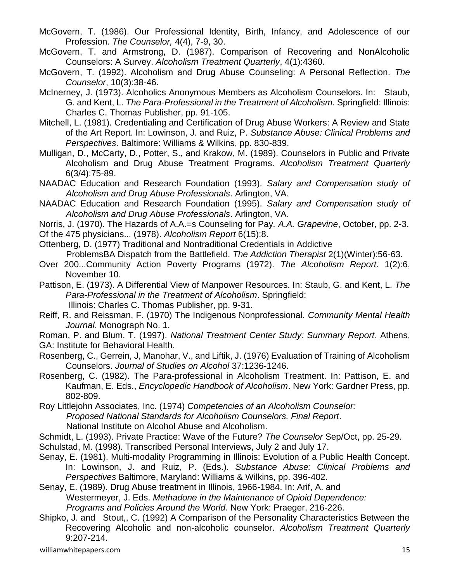- McGovern, T. (1986). Our Professional Identity, Birth, Infancy, and Adolescence of our Profession. *The Counselor,* 4(4), 7-9, 30.
- McGovern, T. and Armstrong, D. (1987). Comparison of Recovering and NonAlcoholic Counselors: A Survey. *Alcoholism Treatment Quarterly*, 4(1):4360.
- McGovern, T. (1992). Alcoholism and Drug Abuse Counseling: A Personal Reflection. *The Counselor*, 10(3):38-46.
- McInerney, J. (1973). Alcoholics Anonymous Members as Alcoholism Counselors. In: Staub, G. and Kent, L. *The Para-Professional in the Treatment of Alcoholism*. Springfield: Illinois: Charles C. Thomas Publisher, pp. 91-105.
- Mitchell, L. (1981). Credentialing and Certification of Drug Abuse Workers: A Review and State of the Art Report. In: Lowinson, J. and Ruiz, P. *Substance Abuse: Clinical Problems and Perspectives*. Baltimore: Williams & Wilkins, pp. 830-839.
- Mulligan, D., McCarty, D., Potter, S., and Krakow, M. (1989). Counselors in Public and Private Alcoholism and Drug Abuse Treatment Programs. *Alcoholism Treatment Quarterly* 6(3/4):75-89.
- NAADAC Education and Research Foundation (1993). *Salary and Compensation study of Alcoholism and Drug Abuse Professionals*. Arlington, VA.
- NAADAC Education and Research Foundation (1995). *Salary and Compensation study of Alcoholism and Drug Abuse Professionals*. Arlington, VA.
- Norris, J. (1970). The Hazards of A.A.=s Counseling for Pay*. A.A. Grapevine*, October, pp. 2-3.
- Of the 475 physicians... (1978). *Alcoholism Report* 6(15):8.
- Ottenberg, D. (1977) Traditional and Nontraditional Credentials in Addictive ProblemsBA Dispatch from the Battlefield. *The Addiction Therapist* 2(1)(Winter):56-63.
- Over 200...Community Action Poverty Programs (1972). *The Alcoholism Report*. 1(2):6, November 10.
- Pattison, E. (1973). A Differential View of Manpower Resources. In: Staub, G. and Kent, L. *The Para-Professional in the Treatment of Alcoholism*. Springfield: Illinois: Charles C. Thomas Publisher, pp. 9-31.
- Reiff, R. and Reissman, F. (1970) The Indigenous Nonprofessional. *Community Mental Health Journal*. Monograph No. 1.
- Roman, P. and Blum, T. (1997). *National Treatment Center Study: Summary Report*. Athens, GA: Institute for Behavioral Health.
- Rosenberg, C., Gerrein, J, Manohar, V., and Liftik, J. (1976) Evaluation of Training of Alcoholism Counselors. *Journal of Studies on Alcohol* 37:1236-1246.
- Rosenberg, C. (1982). The Para-professional in Alcoholism Treatment. In: Pattison, E. and Kaufman, E. Eds., *Encyclopedic Handbook of Alcoholism*. New York: Gardner Press, pp. 802-809.
- Roy Littlejohn Associates, Inc. (1974) *Competencies of an Alcoholism Counselor: Proposed National Standards for Alcoholism Counselors. Final Report*. National Institute on Alcohol Abuse and Alcoholism.
- Schmidt, L. (1993). Private Practice: Wave of the Future? *The Counselor* Sep/Oct, pp. 25-29.
- Schulstad, M. (1998). Transcribed Personal Interviews, July 2 and July 17.
- Senay, E. (1981). Multi-modality Programming in Illinois: Evolution of a Public Health Concept. In: Lowinson, J. and Ruiz, P. (Eds.). *Substance Abuse: Clinical Problems and Perspectives* Baltimore, Maryland: Williams & Wilkins, pp. 396-402.
- Senay, E. (1989). Drug Abuse treatment in Illinois, 1966-1984. In: Arif, A. and

Westermeyer, J. Eds. *Methadone in the Maintenance of Opioid Dependence:* 

*Programs and Policies Around the World.* New York: Praeger, 216-226.

Shipko, J. and Stout,, C. (1992) A Comparison of the Personality Characteristics Between the Recovering Alcoholic and non-alcoholic counselor. *Alcoholism Treatment Quarterly* 9:207-214.